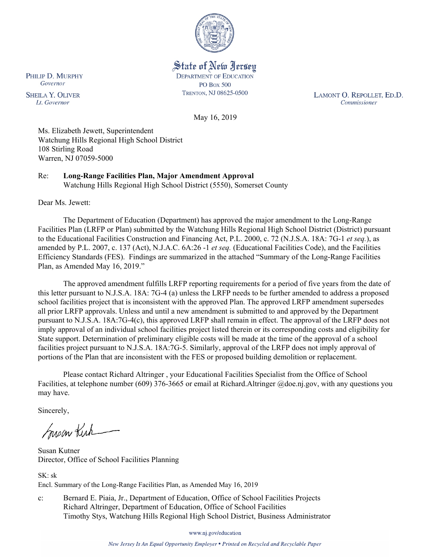

State of New Jersey **DEPARTMENT OF EDUCATION PO Box 500** TRENTON, NJ 08625-0500

LAMONT O. REPOLLET, ED.D. Commissioner

May 16, 2019

Ms. Elizabeth Jewett, Superintendent Watchung Hills Regional High School District 108 Stirling Road Warren, NJ 07059-5000

Re: **Long-Range Facilities Plan, Major Amendment Approval** Watchung Hills Regional High School District (5550), Somerset County

Dear Ms. Jewett:

The Department of Education (Department) has approved the major amendment to the Long-Range Facilities Plan (LRFP or Plan) submitted by the Watchung Hills Regional High School District (District) pursuant to the Educational Facilities Construction and Financing Act, P.L. 2000, c. 72 (N.J.S.A. 18A: 7G-1 *et seq.*), as amended by P.L. 2007, c. 137 (Act), N.J.A.C. 6A:26 -1 *et seq.* (Educational Facilities Code), and the Facilities Efficiency Standards (FES). Findings are summarized in the attached "Summary of the Long-Range Facilities Plan, as Amended May 16, 2019."

The approved amendment fulfills LRFP reporting requirements for a period of five years from the date of this letter pursuant to N.J.S.A. 18A: 7G-4 (a) unless the LRFP needs to be further amended to address a proposed school facilities project that is inconsistent with the approved Plan. The approved LRFP amendment supersedes all prior LRFP approvals. Unless and until a new amendment is submitted to and approved by the Department pursuant to N.J.S.A. 18A:7G-4(c), this approved LRFP shall remain in effect. The approval of the LRFP does not imply approval of an individual school facilities project listed therein or its corresponding costs and eligibility for State support. Determination of preliminary eligible costs will be made at the time of the approval of a school facilities project pursuant to N.J.S.A. 18A:7G-5. Similarly, approval of the LRFP does not imply approval of portions of the Plan that are inconsistent with the FES or proposed building demolition or replacement.

Please contact Richard Altringer , your Educational Facilities Specialist from the Office of School Facilities, at telephone number (609) 376-3665 or email at Richard.Altringer @doe.nj.gov, with any questions you may have.

Sincerely,

Susan Kich

Susan Kutner Director, Office of School Facilities Planning

 $SK \cdot sk$ Encl. Summary of the Long-Range Facilities Plan, as Amended May 16, 2019

c: Bernard E. Piaia, Jr., Department of Education, Office of School Facilities Projects Richard Altringer, Department of Education, Office of School Facilities Timothy Stys, Watchung Hills Regional High School District, Business Administrator

www.nj.gov/education

New Jersey Is An Equal Opportunity Employer . Printed on Recycled and Recyclable Paper

PHILIP D. MURPHY Governor

**SHEILA Y. OLIVER** Lt. Governor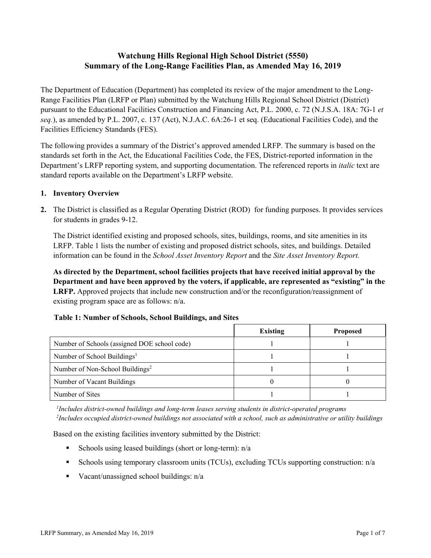# **Watchung Hills Regional High School District (5550) Summary of the Long-Range Facilities Plan, as Amended May 16, 2019**

The Department of Education (Department) has completed its review of the major amendment to the Long-Range Facilities Plan (LRFP or Plan) submitted by the Watchung Hills Regional School District (District) pursuant to the Educational Facilities Construction and Financing Act, P.L. 2000, c. 72 (N.J.S.A. 18A: 7G-1 *et seq.*), as amended by P.L. 2007, c. 137 (Act), N.J.A.C. 6A:26-1 et seq. (Educational Facilities Code), and the Facilities Efficiency Standards (FES).

The following provides a summary of the District's approved amended LRFP. The summary is based on the standards set forth in the Act, the Educational Facilities Code, the FES, District-reported information in the Department's LRFP reporting system, and supporting documentation. The referenced reports in *italic* text are standard reports available on the Department's LRFP website.

### **1. Inventory Overview**

**2.** The District is classified as a Regular Operating District (ROD) for funding purposes. It provides services for students in grades 9-12.

The District identified existing and proposed schools, sites, buildings, rooms, and site amenities in its LRFP. Table 1 lists the number of existing and proposed district schools, sites, and buildings. Detailed information can be found in the *School Asset Inventory Report* and the *Site Asset Inventory Report.*

**As directed by the Department, school facilities projects that have received initial approval by the Department and have been approved by the voters, if applicable, are represented as "existing" in the LRFP.** Approved projects that include new construction and/or the reconfiguration/reassignment of existing program space are as follows: n/a.

|                                              | <b>Existing</b> | <b>Proposed</b> |
|----------------------------------------------|-----------------|-----------------|
| Number of Schools (assigned DOE school code) |                 |                 |
| Number of School Buildings <sup>1</sup>      |                 |                 |
| Number of Non-School Buildings <sup>2</sup>  |                 |                 |
| Number of Vacant Buildings                   |                 |                 |
| Number of Sites                              |                 |                 |

# **Table 1: Number of Schools, School Buildings, and Sites**

*1 Includes district-owned buildings and long-term leases serving students in district-operated programs 2 Includes occupied district-owned buildings not associated with a school, such as administrative or utility buildings*

Based on the existing facilities inventory submitted by the District:

- Schools using leased buildings (short or long-term):  $n/a$
- Schools using temporary classroom units (TCUs), excluding TCUs supporting construction: n/a
- Vacant/unassigned school buildings:  $n/a$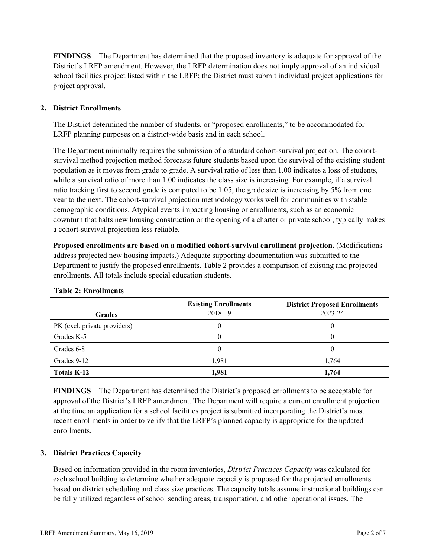**FINDINGS** The Department has determined that the proposed inventory is adequate for approval of the District's LRFP amendment. However, the LRFP determination does not imply approval of an individual school facilities project listed within the LRFP; the District must submit individual project applications for project approval.

# **2. District Enrollments**

The District determined the number of students, or "proposed enrollments," to be accommodated for LRFP planning purposes on a district-wide basis and in each school.

The Department minimally requires the submission of a standard cohort-survival projection. The cohortsurvival method projection method forecasts future students based upon the survival of the existing student population as it moves from grade to grade. A survival ratio of less than 1.00 indicates a loss of students, while a survival ratio of more than 1.00 indicates the class size is increasing. For example, if a survival ratio tracking first to second grade is computed to be 1.05, the grade size is increasing by 5% from one year to the next. The cohort-survival projection methodology works well for communities with stable demographic conditions. Atypical events impacting housing or enrollments, such as an economic downturn that halts new housing construction or the opening of a charter or private school, typically makes a cohort-survival projection less reliable.

**Proposed enrollments are based on a modified cohort-survival enrollment projection.** (Modifications address projected new housing impacts.) Adequate supporting documentation was submitted to the Department to justify the proposed enrollments. Table 2 provides a comparison of existing and projected enrollments. All totals include special education students.

| <b>Grades</b>                | <b>Existing Enrollments</b><br>2018-19 | <b>District Proposed Enrollments</b><br>2023-24 |
|------------------------------|----------------------------------------|-------------------------------------------------|
| PK (excl. private providers) |                                        |                                                 |
| Grades K-5                   |                                        | O                                               |
| Grades 6-8                   |                                        | U                                               |
| Grades 9-12                  | 1,981                                  | 1,764                                           |
| Totals K-12                  | 1,981                                  | 1,764                                           |

#### **Table 2: Enrollments**

**FINDINGS** The Department has determined the District's proposed enrollments to be acceptable for approval of the District's LRFP amendment. The Department will require a current enrollment projection at the time an application for a school facilities project is submitted incorporating the District's most recent enrollments in order to verify that the LRFP's planned capacity is appropriate for the updated enrollments.

# **3. District Practices Capacity**

Based on information provided in the room inventories, *District Practices Capacity* was calculated for each school building to determine whether adequate capacity is proposed for the projected enrollments based on district scheduling and class size practices. The capacity totals assume instructional buildings can be fully utilized regardless of school sending areas, transportation, and other operational issues. The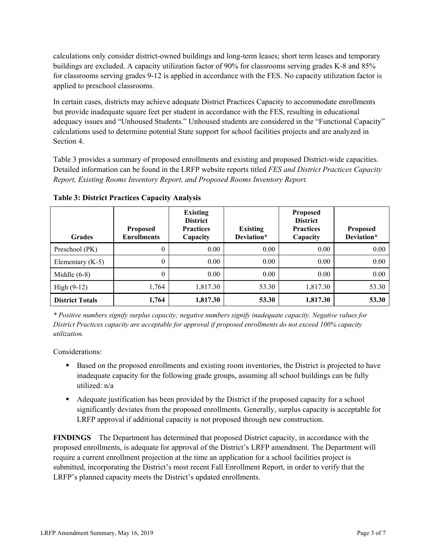calculations only consider district-owned buildings and long-term leases; short term leases and temporary buildings are excluded. A capacity utilization factor of 90% for classrooms serving grades K-8 and 85% for classrooms serving grades 9-12 is applied in accordance with the FES. No capacity utilization factor is applied to preschool classrooms.

In certain cases, districts may achieve adequate District Practices Capacity to accommodate enrollments but provide inadequate square feet per student in accordance with the FES, resulting in educational adequacy issues and "Unhoused Students." Unhoused students are considered in the "Functional Capacity" calculations used to determine potential State support for school facilities projects and are analyzed in Section 4.

Table 3 provides a summary of proposed enrollments and existing and proposed District-wide capacities. Detailed information can be found in the LRFP website reports titled *FES and District Practices Capacity Report, Existing Rooms Inventory Report, and Proposed Rooms Inventory Report.*

| <b>Grades</b>          | <b>Proposed</b><br><b>Enrollments</b> | <b>Existing</b><br><b>District</b><br><b>Practices</b><br>Capacity | <b>Existing</b><br>Deviation* | <b>Proposed</b><br><b>District</b><br><b>Practices</b><br>Capacity | <b>Proposed</b><br>Deviation* |
|------------------------|---------------------------------------|--------------------------------------------------------------------|-------------------------------|--------------------------------------------------------------------|-------------------------------|
| Preschool (PK)         | $\theta$                              | 0.00                                                               | 0.00                          | 0.00                                                               | 0.00                          |
| Elementary $(K-5)$     | $\theta$                              | $0.00\,$                                                           | 0.00                          | 0.00                                                               | 0.00                          |
| Middle $(6-8)$         | 0                                     | 0.00                                                               | 0.00                          | 0.00                                                               | 0.00                          |
| High $(9-12)$          | 1,764                                 | 1,817.30                                                           | 53.30                         | 1,817.30                                                           | 53.30                         |
| <b>District Totals</b> | 1,764                                 | 1,817.30                                                           | 53.30                         | 1,817.30                                                           | 53.30                         |

**Table 3: District Practices Capacity Analysis**

*\* Positive numbers signify surplus capacity; negative numbers signify inadequate capacity. Negative values for District Practices capacity are acceptable for approval if proposed enrollments do not exceed 100% capacity utilization.*

Considerations:

- Based on the proposed enrollments and existing room inventories, the District is projected to have inadequate capacity for the following grade groups, assuming all school buildings can be fully utilized: n/a
- Adequate justification has been provided by the District if the proposed capacity for a school significantly deviates from the proposed enrollments. Generally, surplus capacity is acceptable for LRFP approval if additional capacity is not proposed through new construction.

**FINDINGS**The Department has determined that proposed District capacity, in accordance with the proposed enrollments, is adequate for approval of the District's LRFP amendment. The Department will require a current enrollment projection at the time an application for a school facilities project is submitted, incorporating the District's most recent Fall Enrollment Report, in order to verify that the LRFP's planned capacity meets the District's updated enrollments.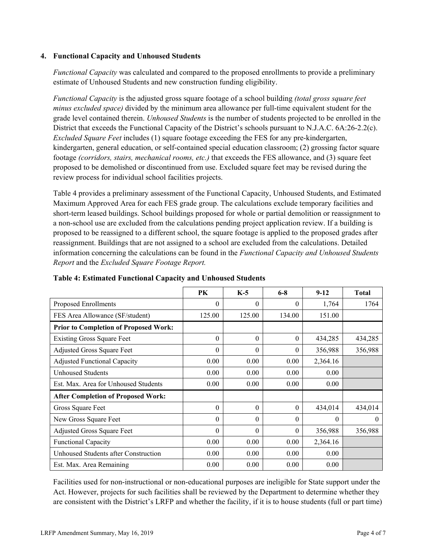### **4. Functional Capacity and Unhoused Students**

*Functional Capacity* was calculated and compared to the proposed enrollments to provide a preliminary estimate of Unhoused Students and new construction funding eligibility.

*Functional Capacity* is the adjusted gross square footage of a school building *(total gross square feet minus excluded space)* divided by the minimum area allowance per full-time equivalent student for the grade level contained therein. *Unhoused Students* is the number of students projected to be enrolled in the District that exceeds the Functional Capacity of the District's schools pursuant to N.J.A.C. 6A:26-2.2(c). *Excluded Square Feet* includes (1) square footage exceeding the FES for any pre-kindergarten, kindergarten, general education, or self-contained special education classroom; (2) grossing factor square footage *(corridors, stairs, mechanical rooms, etc.)* that exceeds the FES allowance, and (3) square feet proposed to be demolished or discontinued from use. Excluded square feet may be revised during the review process for individual school facilities projects.

Table 4 provides a preliminary assessment of the Functional Capacity, Unhoused Students, and Estimated Maximum Approved Area for each FES grade group. The calculations exclude temporary facilities and short-term leased buildings. School buildings proposed for whole or partial demolition or reassignment to a non-school use are excluded from the calculations pending project application review. If a building is proposed to be reassigned to a different school, the square footage is applied to the proposed grades after reassignment. Buildings that are not assigned to a school are excluded from the calculations. Detailed information concerning the calculations can be found in the *Functional Capacity and Unhoused Students Report* and the *Excluded Square Footage Report.*

|                                              | <b>PK</b> | $K-5$    | $6 - 8$  | $9-12$   | <b>Total</b> |
|----------------------------------------------|-----------|----------|----------|----------|--------------|
| Proposed Enrollments                         | 0         | $\theta$ | 0        | 1,764    | 1764         |
| FES Area Allowance (SF/student)              | 125.00    | 125.00   | 134.00   | 151.00   |              |
| <b>Prior to Completion of Proposed Work:</b> |           |          |          |          |              |
| <b>Existing Gross Square Feet</b>            | $\theta$  | $\theta$ | $\theta$ | 434,285  | 434,285      |
| Adjusted Gross Square Feet                   | 0         | $\theta$ | $\theta$ | 356,988  | 356,988      |
| <b>Adjusted Functional Capacity</b>          | 0.00      | 0.00     | 0.00     | 2,364.16 |              |
| <b>Unhoused Students</b>                     | 0.00      | 0.00     | 0.00     | 0.00     |              |
| Est. Max. Area for Unhoused Students         | 0.00      | 0.00     | 0.00     | 0.00     |              |
| <b>After Completion of Proposed Work:</b>    |           |          |          |          |              |
| Gross Square Feet                            | $\theta$  | $\theta$ | $\theta$ | 434,014  | 434,014      |
| New Gross Square Feet                        | 0         | $\theta$ | $\Omega$ | $\Omega$ | $\Omega$     |
| Adjusted Gross Square Feet                   | 0         | $\Omega$ | $\theta$ | 356,988  | 356,988      |
| Functional Capacity                          | 0.00      | 0.00     | 0.00     | 2,364.16 |              |
| Unhoused Students after Construction         | 0.00      | 0.00     | 0.00     | 0.00     |              |
| Est. Max. Area Remaining                     | 0.00      | 0.00     | 0.00     | 0.00     |              |

**Table 4: Estimated Functional Capacity and Unhoused Students** 

Facilities used for non-instructional or non-educational purposes are ineligible for State support under the Act. However, projects for such facilities shall be reviewed by the Department to determine whether they are consistent with the District's LRFP and whether the facility, if it is to house students (full or part time)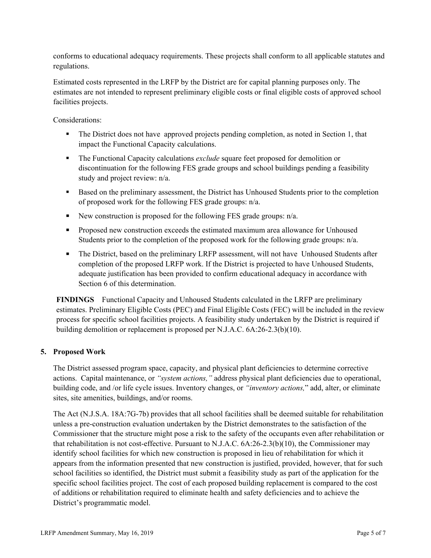conforms to educational adequacy requirements. These projects shall conform to all applicable statutes and regulations.

Estimated costs represented in the LRFP by the District are for capital planning purposes only. The estimates are not intended to represent preliminary eligible costs or final eligible costs of approved school facilities projects.

Considerations:

- The District does not have approved projects pending completion, as noted in Section 1, that impact the Functional Capacity calculations.
- **The Functional Capacity calculations** *exclude* square feet proposed for demolition or discontinuation for the following FES grade groups and school buildings pending a feasibility study and project review: n/a.
- Based on the preliminary assessment, the District has Unhoused Students prior to the completion of proposed work for the following FES grade groups: n/a.
- New construction is proposed for the following FES grade groups:  $n/a$ .
- **Proposed new construction exceeds the estimated maximum area allowance for Unhoused** Students prior to the completion of the proposed work for the following grade groups: n/a.
- The District, based on the preliminary LRFP assessment, will not have Unhoused Students after completion of the proposed LRFP work. If the District is projected to have Unhoused Students, adequate justification has been provided to confirm educational adequacy in accordance with Section 6 of this determination.

**FINDINGS** Functional Capacity and Unhoused Students calculated in the LRFP are preliminary estimates. Preliminary Eligible Costs (PEC) and Final Eligible Costs (FEC) will be included in the review process for specific school facilities projects. A feasibility study undertaken by the District is required if building demolition or replacement is proposed per N.J.A.C. 6A:26-2.3(b)(10).

# **5. Proposed Work**

The District assessed program space, capacity, and physical plant deficiencies to determine corrective actions. Capital maintenance, or *"system actions,"* address physical plant deficiencies due to operational, building code, and /or life cycle issues. Inventory changes, or *"inventory actions,*" add, alter, or eliminate sites, site amenities, buildings, and/or rooms.

The Act (N.J.S.A. 18A:7G-7b) provides that all school facilities shall be deemed suitable for rehabilitation unless a pre-construction evaluation undertaken by the District demonstrates to the satisfaction of the Commissioner that the structure might pose a risk to the safety of the occupants even after rehabilitation or that rehabilitation is not cost-effective. Pursuant to N.J.A.C. 6A:26-2.3(b)(10), the Commissioner may identify school facilities for which new construction is proposed in lieu of rehabilitation for which it appears from the information presented that new construction is justified, provided, however, that for such school facilities so identified, the District must submit a feasibility study as part of the application for the specific school facilities project. The cost of each proposed building replacement is compared to the cost of additions or rehabilitation required to eliminate health and safety deficiencies and to achieve the District's programmatic model.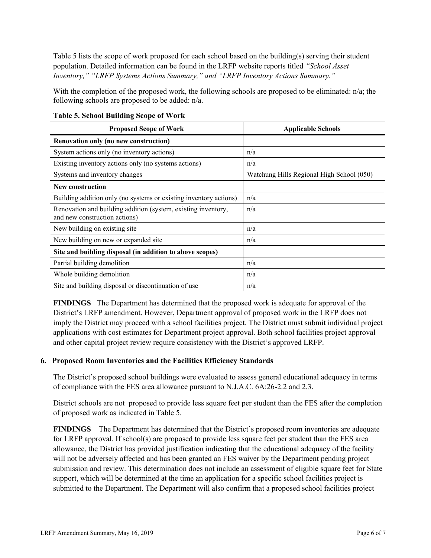Table 5 lists the scope of work proposed for each school based on the building(s) serving their student population. Detailed information can be found in the LRFP website reports titled *"School Asset Inventory," "LRFP Systems Actions Summary," and "LRFP Inventory Actions Summary."*

With the completion of the proposed work, the following schools are proposed to be eliminated: n/a; the following schools are proposed to be added: n/a.

| <b>Proposed Scope of Work</b>                                                                  | <b>Applicable Schools</b>                 |
|------------------------------------------------------------------------------------------------|-------------------------------------------|
| Renovation only (no new construction)                                                          |                                           |
| System actions only (no inventory actions)                                                     | n/a                                       |
| Existing inventory actions only (no systems actions)                                           | n/a                                       |
| Systems and inventory changes                                                                  | Watchung Hills Regional High School (050) |
| <b>New construction</b>                                                                        |                                           |
| Building addition only (no systems or existing inventory actions)                              | n/a                                       |
| Renovation and building addition (system, existing inventory,<br>and new construction actions) | n/a                                       |
| New building on existing site                                                                  | n/a                                       |
| New building on new or expanded site                                                           | n/a                                       |
| Site and building disposal (in addition to above scopes)                                       |                                           |
| Partial building demolition                                                                    | n/a                                       |
| Whole building demolition                                                                      | n/a                                       |
| Site and building disposal or discontinuation of use                                           | n/a                                       |

**Table 5. School Building Scope of Work**

**FINDINGS** The Department has determined that the proposed work is adequate for approval of the District's LRFP amendment. However, Department approval of proposed work in the LRFP does not imply the District may proceed with a school facilities project. The District must submit individual project applications with cost estimates for Department project approval. Both school facilities project approval and other capital project review require consistency with the District's approved LRFP.

#### **6. Proposed Room Inventories and the Facilities Efficiency Standards**

The District's proposed school buildings were evaluated to assess general educational adequacy in terms of compliance with the FES area allowance pursuant to N.J.A.C. 6A:26-2.2 and 2.3.

District schools are not proposed to provide less square feet per student than the FES after the completion of proposed work as indicated in Table 5.

**FINDINGS** The Department has determined that the District's proposed room inventories are adequate for LRFP approval. If school(s) are proposed to provide less square feet per student than the FES area allowance, the District has provided justification indicating that the educational adequacy of the facility will not be adversely affected and has been granted an FES waiver by the Department pending project submission and review. This determination does not include an assessment of eligible square feet for State support, which will be determined at the time an application for a specific school facilities project is submitted to the Department. The Department will also confirm that a proposed school facilities project